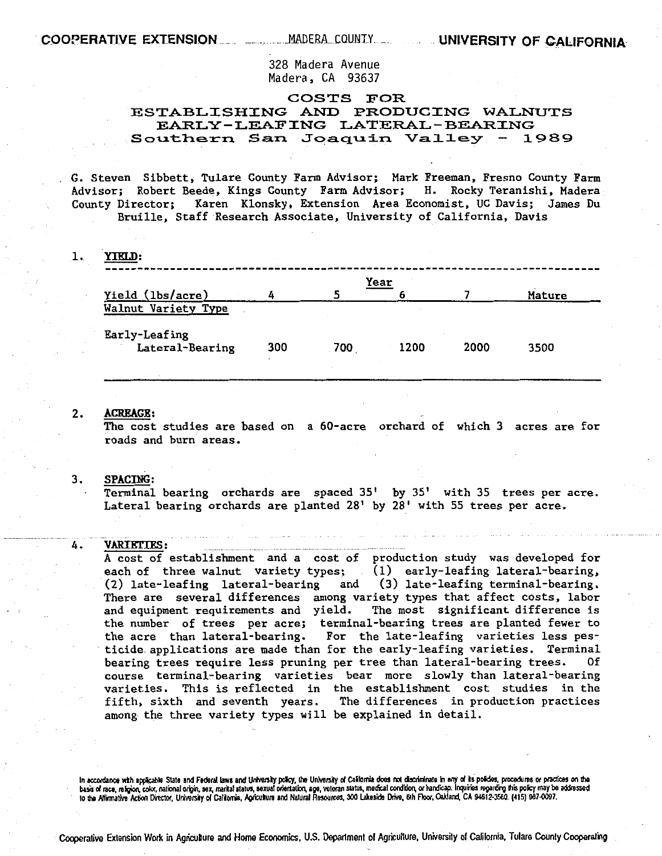### 328 Madera Avenue Madera, CA 93637

# COSTS FOR ESTABLISHING AND PRODUCING WALNUTS<br>EARLY-LEAFING LATERAL-BEARING Southern San Joaquin Valley - 1989

G. Steven Sibbett, Tulare County Farm Advisor; Mark Freeman, Fresno County Farm Advisor; Robert Beede, Kings County Farm Advisor; H. Rocky Teranishi, Madera County Director; Karen Klonsky, Extension Area Economist, UC Davis; James Du Bruille, Staff Research Associate, University of California, Davis

1. YIELD:

| TPTM:                            |     |             |      |      |        |
|----------------------------------|-----|-------------|------|------|--------|
|                                  |     | <u>Year</u> |      |      |        |
| Yield (1bs/acre)                 | 4   |             |      |      | Mature |
| Walnut Variety Type              |     |             |      |      |        |
| Early-Leafing<br>Lateral-Bearing | 300 | 700         | 1200 | 2000 | 3500   |
| $\sim$                           |     |             |      |      |        |

#### 2. ACREAGE:

The cost studies are based on a 60-acre orchard of which 3 acres are for roads and burn areas.

### 3. SPACING:

Terminal bearing orchards are spaced  $35'$  by  $35'$  with  $35$  trees per acre. Lateral bearing orchards are planted  $28'$  by  $28'$  with 55 trees per acre.

#### 4. VARIETIES:

A cost of establishment and a cost of production study was developed for each of three walnut variety types; (1) early-leafing lateral-bearing, (2) late-leafing lateral-bearing and (3) late-leafing terminal-bearing. There are several differences among variety types that affect costs, labor<br>and equipment requirements and yield. The most significant difference is and equipment requirements and yield. the number of trees per acre; terminal-bearing trees are planted fewer to the acre than lateral-bearing. For the late-leafing varieties less pesticide applications are made than for the early-leafing varieties. Terminal<br>bearing trees require less pruning per tree than lateral-bearing trees. Of bearing trees require less pruning per tree than lateral-bearing trees. course terminal-bearing varieties bear more slowly than lateral-bearing varieties. This is reflected in the establishment cost studies in the fifth, sixth and seventh years. The differences in production practices among the three variety types will be explained in detail.

In accordance with appicable State and Federal laws and University policy, the University of California does not discriminate in any of its policies, procedures or practices on the basis of race, religion, color, national origin, sex, markal status, sexual orientation, age, veteran status, medical condition, or handicap. Inquiries regarding this policy may be addressed<br>to the Affirmative Action Direc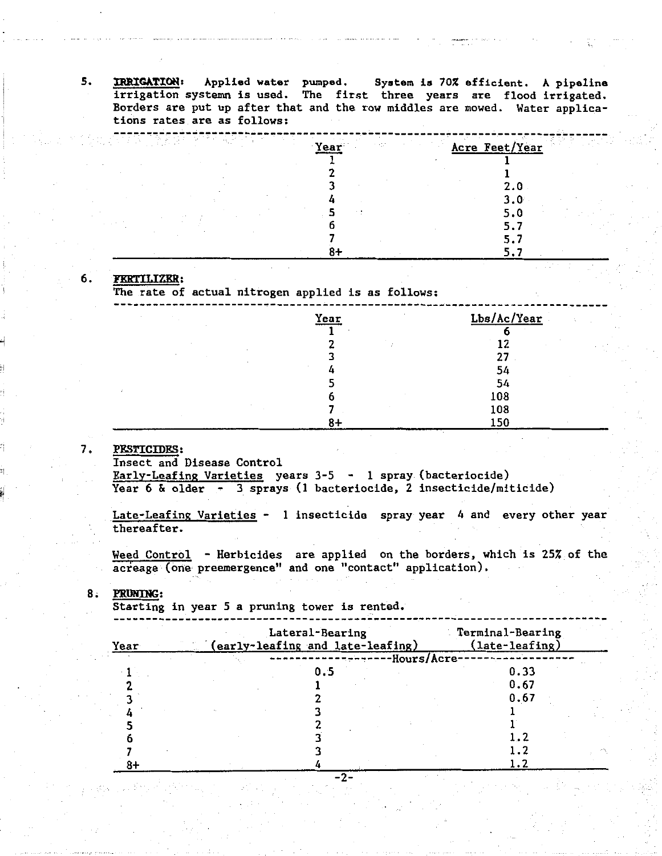5. IRRIGATION: Applied water pumped. System is 70% efficient. A pipeline irrigation systemn is used. The first three years are flood irrigated. Borders are put up after that and the row middles are mowed. Water applications rates are as follows:

| 마수 있는 1 - 12만 | न्तु प्रयास मुख्य में निर्मात न | <b>Contractor</b> |          | Acre Feet/Year | -12 |
|---------------|---------------------------------|-------------------|----------|----------------|-----|
|               |                                 |                   |          |                |     |
|               |                                 |                   |          |                |     |
|               |                                 |                   |          | 2.0            |     |
|               |                                 |                   |          | 3.0            |     |
|               |                                 |                   | $\cdots$ | 5.             |     |
|               |                                 |                   |          | 5.             |     |
|               |                                 |                   |          | 5.             |     |
|               |                                 |                   |          |                |     |

#### 6. FERTILIZER:

The rate of actual nitrogen applied is as follows:

|              | Year | Lbs/Ac/Year |
|--------------|------|-------------|
|              |      |             |
|              |      | 12          |
| $\mathbf{r}$ |      | 27          |
|              | 4    | 54          |
|              |      | 54          |
|              |      | 108         |
|              |      | 108         |
|              |      | 150         |

#### 7. PESTICIDES:

Insect and Disease Control

Early-Leafing Varieties years  $3-5 - 1$  spray (bacteriocide) Year  $6$  & older  $-3$  sprays (1 bacteriocide, 2 insecticide/miticide)

Late-Leafing Varieties - 1 insecticide spray year 4 and every other year thereafter.

Weed Control - Herbicides are applied on the borders, which is  $25%$  of the acreage (one preemergence" and one "contact" application).

#### 8• PRUNING:

Starting in year 5 a pruning tower is rented.

| Year | Lateral-Bearing<br>(early-leafing and late-leafing) | Terminal-Bearing<br>(late-leafing) |
|------|-----------------------------------------------------|------------------------------------|
|      |                                                     | <b>-Hours/Acre</b>                 |
|      | 0.5                                                 | 0.33                               |
|      |                                                     | 0.67                               |
|      |                                                     | 0.67                               |
|      |                                                     |                                    |
|      |                                                     |                                    |
|      |                                                     |                                    |
|      |                                                     |                                    |
|      |                                                     |                                    |

-2-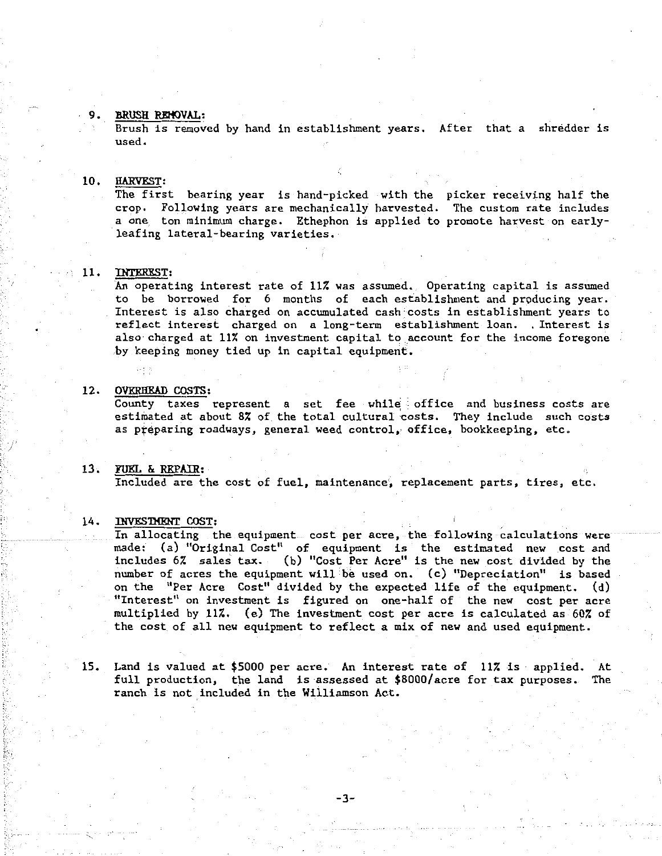#### 9. BRUSH **REHOVAL:**

Brush is removed by hand in establishment years. After that a shredder is used.

#### 10. HARVEST:

The first bearing year is hand-picked with the picker receiving half the crop. Following years are mechanically harvested. The custom rate includes a one ton minimum charge. Ethephon is applied to promote harvest on earlyleafing lateral-bearing varieties.

### 11. INTKRKST:

An operating interest rate of 117. was assumed. Operating capital is assumed to be borrowed for 6 months of each establishment and producing year. Interest is also charged on accumulated cash·costs in establishment years to reflect interest charged on a long-term establishment loan. , Interest is also charged at 11% on investment capital to account for the income foregone by keeping money tied up in capital equipment.

### 12. OVKRHKAD COSTS:

County taxes represent a set fee while office and business costs are estimated at about 8% of the total cultural costs. They include such costs as preparing roadways, general weed control, office, bookkeeping, etc.

### 13. FUKL & REPAIR:

Included are the cost of fuel, maintenance, replacement parts, tires, etc.

#### 14. INVESTMENT COST:

In allocating the equipment cost per acre, the following calculations were made: (a) "Original Cost" of equipment is the estimated new cost and includes 67. sales tax. (b) "Cost Per Acre" is the new cost divided by the number of acres the equipment will be used on. (c) "Depreciation" is based on the "Per Acre Cost" divided by the expected life of the equipment. (d) "Interest" on investment is figured on one-half of the new cost per acre multiplied by  $117.$  (e) The investment cost per acre is calculated as  $607.$  of the cost of all new equipment to reflect a mix of new and used equipment.

15. Land is valued at \$5000 per acre. An interest rate of 117. is applied. At full production, the land is assessed at \$8000/acre for tax purposes. The ranch ls not included in the Williamson Act.

-3-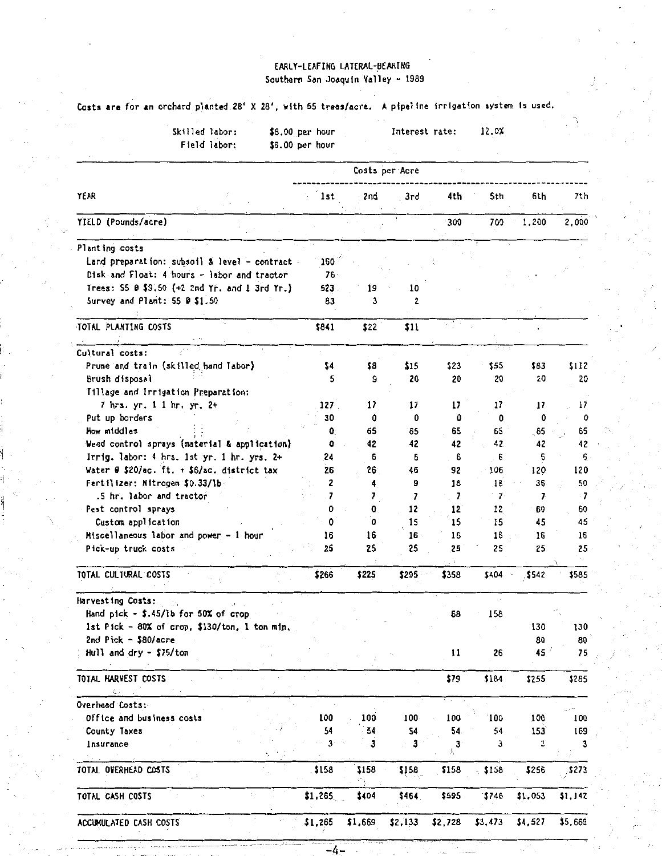### EARLY-LEAFING LATERAL-BEARING Southern San Joaquin Valley - 1989

**Costs are for an orchard planted 28 <sup>9</sup>***X* **28', wtth 55 trees/acre.** A pipeline **irrigation system Is used.** 

Skilled labor: \$8.00 per hour **Interest rate:** 12.0%<br>Field labor: \$6.00 per hour

\$6.00 per hour

|                                                    |                 |         | Costs per Acre |         |              |                 |           |
|----------------------------------------------------|-----------------|---------|----------------|---------|--------------|-----------------|-----------|
| YEAR                                               | 1st             | 2nd     | 3rd            | 4th     | 5th          | 6th             | 7th       |
| YIELD (Pounds/acre)                                |                 |         |                | 300     | 700          | 1,200           | 2,000     |
| Planting costs                                     |                 |         |                |         |              |                 |           |
| Land preparation: subsoil & level - contract.      | 160             |         |                |         |              |                 |           |
| Disk and Float: 4 hours - labor and tractor        | 76 <sup>°</sup> |         |                |         |              |                 |           |
| Trees: 55 0 \$9.50 (+2 2nd Yr. and 1 3rd Yr.)      | 523             | 19      | 10             |         |              |                 |           |
| Survey and Plant: 55 0 \$1.50                      | 83              | 3       | 2              |         |              |                 |           |
| TOTAL PLANTING COSTS                               | \$841           | \$22    | \$11           |         |              |                 |           |
| Cultural costs:                                    |                 |         |                |         |              |                 |           |
| Prune and train (skilled hand labor)               | \$4             | \$8     | \$15           | \$23    | \$55         | \$83            | \$112     |
| Brush disposal                                     | 5               | 9       | 20             | 20      | 20           | 20              | 20        |
| Tillage and Irrigation Preparation:                |                 |         |                |         |              |                 |           |
| 7 hrs. yr. 1 1 hr. yr. 2+                          | 127             | 17      | 17             | 17      | 17           | 17              | 17        |
| Put up borders                                     | 30              | 0       | 0              | 0       | 0            | 0               | 0         |
| Mow middles                                        | 0               | 65      | 65             | 65      | 65           | . 65            | 65        |
| Weed control sprays (material & application)       | o               | 42      | 42             | 42      | 42.          | 42              | 42        |
| Irrig. labor: 4 hrs. 1st yr. 1 hr. yrs. 2+         | 24              | 6       | 6              | 6       | - 6          | 6               | 6         |
| Water $\theta$ \$20/ac. ft. + \$6/ac. district tax | 26              | 26.     | 46             | 92      | 106          | 120             | 120       |
| Fertilizer: Nitrogen \$0.33/1b                     | 2               | 4       | 9              | 18      | 18           | 36              | 50        |
| .5 hr. labor and tractor                           | 7               | 7       | 7              | 7       | $\mathbf{7}$ | 7               | $\cdot$ 7 |
| Pest control sprays                                | 0               | O.      | 12             | 12      | 12           | 60              | 60        |
| Custom application                                 | 0               | 0       | 15             | 15      | 15           | 45              | 45        |
| Hiscellaneous labor and power - 1 hour             | 16              | 16      | 16 ·           | 16      | 16           | 16              | 16        |
| Pick-up truck costs                                | 25              | 25      | 25             | 25      | 25           | 25              | 25        |
| TOTAL CULTURAL COSTS                               | \$266           | \$225   | \$295          | \$358   | \$404        | , \$542         | \$585     |
| Harvesting Costs:                                  |                 |         |                |         |              |                 |           |
| Hand pick - \$.45/1b for 50% of crop               |                 |         |                | 68      | 158          |                 |           |
| 1st Pick - 80% of crop, \$130/ton, 1 ton min.      |                 |         |                |         |              | 130             | 130       |
| 2nd Pick - \$80/acre                               |                 |         |                |         |              | 80              | 80        |
| Hull and dry - \$75/ton                            |                 |         |                | 11      | 26           | 45 <sup>7</sup> | 75        |
| TOTAL HARVEST COSTS<br>ر)                          |                 |         |                | \$79    | \$184        | \$255           | \$285     |
| Overnead Costs:                                    |                 |         |                |         |              |                 |           |
| Office and business costs                          | 100             | 100     | 100            | 100     | 100          | 100             | 100       |
| County Taxes                                       | 54              | 54      | 54             | 54.     | 54           | 153             | 169       |
| Insurance                                          | $3 -$           | - 3     | 3<br>÷.        | 3<br>Λ. | 3            | 3               | 3         |
| TOTAL OVERHEAD COSTS                               | \$158           | \$158   | \$158          | \$158   | \$158        | \$256           | $^{5273}$ |
| TOTAL CASH COSTS                                   | \$1,265         | \$404   | \$464          | \$595   | \$746        | \$1,053         | \$1,142   |
| ACCUNULATED CASH COSTS                             | \$1,265         | \$1,669 | \$2,133        | \$2,728 | \$3,473      | \$4,527         | \$5,669   |

-4-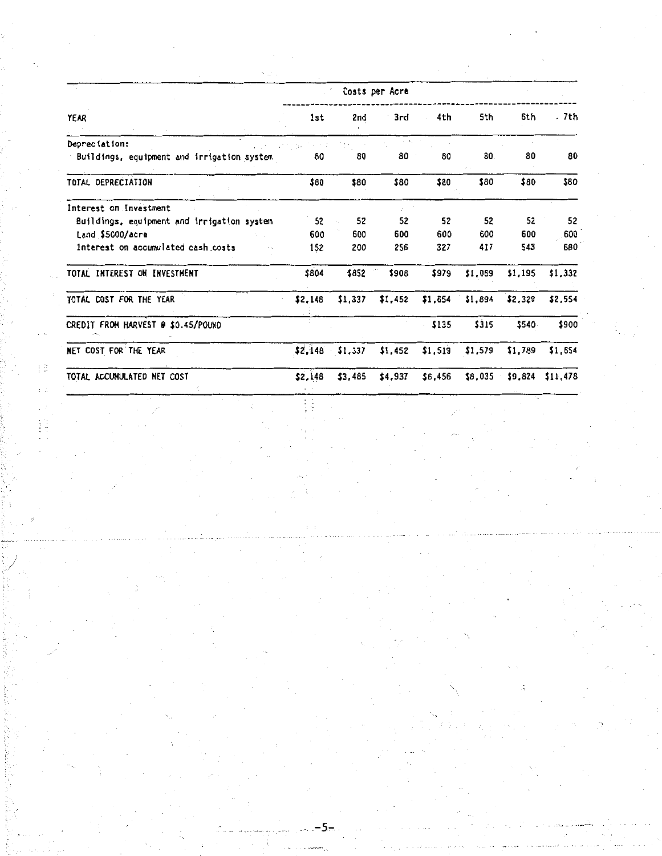|                                            |         |                   | Costs per Acre  |         |         |         |                    |  |  |
|--------------------------------------------|---------|-------------------|-----------------|---------|---------|---------|--------------------|--|--|
| <b>YEAR</b>                                | 1st     | 2nd               | 3rd             | 4th     | 5th     | 6th     | . 7th              |  |  |
| Depreciation:                              |         |                   | $\epsilon = 10$ |         |         |         |                    |  |  |
| Buildings, equipment and irrigation system | 80      | 80                | 80              | 80      | 80      | 80      | 80                 |  |  |
| TOTAL DEPRECIATION                         | \$80    | \$80              | \$80            | \$80    | \$80    | \$80    | \$80               |  |  |
| Interest on Investment                     |         |                   |                 |         |         |         |                    |  |  |
| Buildings, equipment and irrigation system | 52      | 52                | 52              | 52      | 52      | 52      | 52                 |  |  |
| Land \$5000/acre                           | 600     | 600               | 600             | 600     | 600     | 600     | 600                |  |  |
| Interest on accumulated cash costs         | 152     | 200               | 256             | 327     | 417     | 543     | 680                |  |  |
| TOTAL INTEREST ON INVESTMENT               | \$804   | \$852             | \$908           | \$979   | \$1,069 | \$1,195 | \$1,332            |  |  |
| TOTAL COST FOR THE YEAR                    | \$2,148 | \$1,337           | \$1,452         | \$1,654 | \$1,894 | \$2,329 | \$2,554            |  |  |
| CREDIT FROM HARVEST @ \$0.45/POUND         |         |                   |                 | \$135   | \$315   | \$540   | \$900              |  |  |
| NET COST FOR THE YEAR                      |         | $$2,148$ $$1,337$ | \$1,452         | \$1,519 | \$1,579 | \$1,789 | \$1,654            |  |  |
| TOTAL ACCUMULATED NET COST                 | \$2,148 | \$3,485           | \$4,937         | \$6,456 | \$8,035 |         | $$9,824$ $$11,478$ |  |  |
|                                            |         |                   |                 |         |         |         |                    |  |  |

 $\frac{1}{4}$  3

-s~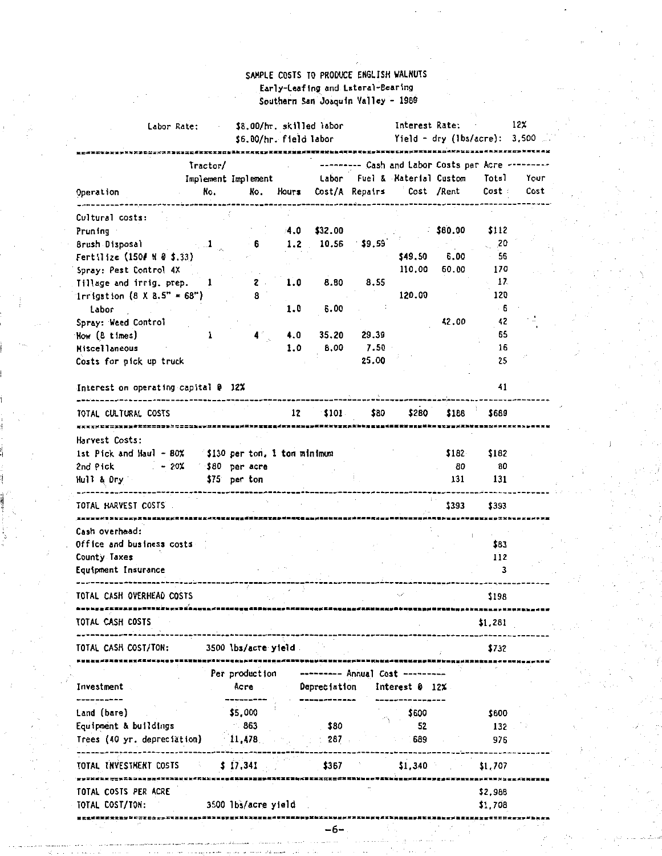## SAMPLE COSTS TO PRODUCE ENGLISH WALNUTS Early-Leaftn~ **and lateral-Bearing**  Southern San Joaquin Valley - 1989

| Labor Rate:                           |                     | \$6.00/hr. field labor       |     | \$8.00/hr. skilled labor |                      | Interest Rate:<br>. Yield - dry (lbs/acre): 3,500 |         |         | $12\chi$ |
|---------------------------------------|---------------------|------------------------------|-----|--------------------------|----------------------|---------------------------------------------------|---------|---------|----------|
|                                       | Tractor/            | *********************        |     |                          |                      | --- Cash and Labor Costs per Acre ---------       |         |         |          |
|                                       |                     | Implement Implement          |     |                          |                      | Labor Fuel & Material Custom Total                |         |         | Your     |
| Operation                             | No.                 | Кo.                          |     |                          |                      | Hours Cost/A Repairs Cost /Rent                   |         | Cost    | Cost     |
|                                       |                     |                              |     |                          |                      |                                                   |         |         |          |
| Cultural costs:                       |                     |                              |     |                          |                      |                                                   |         |         |          |
| Pruning                               |                     |                              | 4.0 | \$32.00                  |                      |                                                   | \$80.00 | \$112   |          |
| Brush Disposal                        |                     | - 6                          | 1.2 | 10.56                    | \$9.59               |                                                   |         | 20      |          |
| Fertilize (1504 N 0 \$.33)            |                     |                              |     |                          |                      | \$49.50                                           | 6.00    | 56      |          |
| Spray: Pest Control 4X                |                     |                              |     |                          |                      | 110.00                                            | 60.00   | 170     |          |
| Tillage and irrig. prep.              | 1                   | Z.                           | 1.0 | 8.80                     | 8,55                 |                                                   |         | 17.     |          |
| 1rrigation $(8 \times 8.5" = 68")$    |                     | 8                            |     |                          |                      | 120.00                                            |         | 120     |          |
| Labor                                 |                     |                              | 1.0 | 5.00                     |                      |                                                   |         | - 6     |          |
| Spray: Weed Control                   |                     |                              |     |                          |                      |                                                   | 42.00   | 42      |          |
| Now (8 times)                         |                     |                              | 4.0 | 35.20                    | 29.39                |                                                   |         | 65      |          |
| <b>Hiscellaneous</b>                  |                     |                              | 1.0 | 8.00                     | 7.50                 |                                                   |         | 16      |          |
| Costs for pick up truck               |                     |                              |     |                          | 25.00                |                                                   |         | 25      |          |
|                                       |                     |                              |     |                          |                      |                                                   |         |         |          |
| Interest on operating capital 0 12%   |                     |                              |     |                          |                      |                                                   |         | 41      |          |
| TOTAL CULTURAL COSTS                  |                     |                              | 12  | \$101                    | \$80                 | \$280                                             | \$188   | \$689   |          |
|                                       |                     |                              |     |                          |                      |                                                   |         |         |          |
| Harvest Costs:                        |                     |                              |     |                          |                      |                                                   |         |         |          |
| 1st Pick and Haul - 80%               |                     | \$130 per ton, 1 ton minimum |     |                          |                      |                                                   | \$182   | \$182   |          |
| $-20%$<br>2nd Pick<br>$\mathcal{L}$   |                     | \$80 per acre                |     |                          |                      |                                                   | 80      | 80      |          |
| Hull & Dry                            |                     | \$75 per ton                 |     |                          |                      |                                                   | 131     | 131     |          |
| TOTAL HARVEST COSTS<br>============== |                     |                              |     |                          |                      |                                                   | \$393   | \$393   |          |
| Cash overhead:                        |                     |                              |     |                          |                      |                                                   |         |         |          |
| Office and business costs             |                     |                              |     |                          |                      |                                                   |         | \$83    |          |
| County Taxes                          |                     |                              |     |                          |                      |                                                   |         | 112     |          |
| Equipment Insurance                   |                     |                              |     |                          |                      |                                                   |         | 3       |          |
|                                       |                     |                              |     |                          |                      |                                                   |         |         |          |
| TOTAL CASH OVERHEAD COSTS             |                     |                              |     |                          |                      |                                                   |         | \$198   |          |
| TOTAL CASH COSTS                      |                     |                              |     |                          |                      |                                                   |         | \$1,281 |          |
| TOTAL CASH COST/TON:                  | ------------------- | 3500 lbs/acre yield.         |     |                          | -------------------- |                                                   |         | \$732   |          |
|                                       |                     |                              |     |                          |                      |                                                   |         |         |          |
|                                       |                     | Per production               |     |                          |                      | --------- Annual Cost ---------                   |         |         |          |
| Investment                            |                     |                              |     | Acre Depreciation        |                      | Interest $8$ 12%                                  |         |         |          |
|                                       |                     |                              |     |                          |                      |                                                   |         |         |          |
| Land (bare)                           |                     | \$5,000                      |     |                          |                      | \$600                                             |         | \$600   |          |
|                                       |                     | 863                          |     | \$80                     |                      | 52                                                |         | $132 -$ |          |
| Equipment & buildings                 |                     |                              |     | 287                      |                      | 689                                               |         |         |          |
| Trees (40 yr. depreciation)           |                     | 11,478                       |     |                          |                      |                                                   |         | 976     |          |
| TOTAL INVESTMENT COSTS                |                     | \$17,341                     |     | \$357                    |                      | \$1,340                                           |         | \$1,707 |          |
| TOTAL COSTS PER ACRE                  |                     |                              |     |                          |                      |                                                   |         | \$2,988 |          |

-6-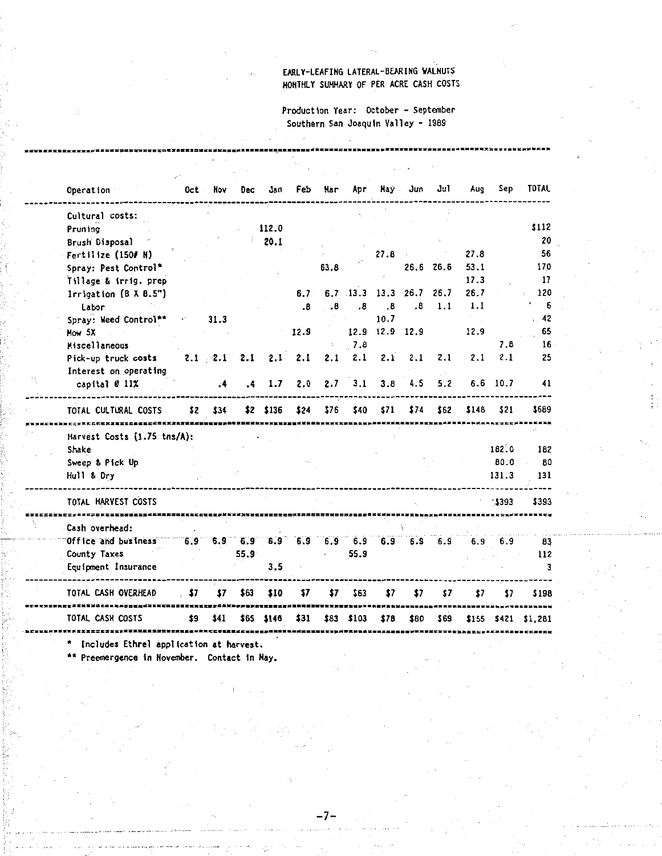### EARLY-LEAFING LATERAL-BEARING WALNUTS HOHTHLY SUHHARY OF PER ACRE CASH COSTS

**Production Year: October - September**  Southern San Joaquin Valley - 1989

| Operation                              | 0ct -         | Nov               | Dec  | Jan               | Feb         | Har  | Apr   |                      | Nay Jun     | Jul       | Aug   | <b>Sep</b> | <b>TOTAL</b>        |
|----------------------------------------|---------------|-------------------|------|-------------------|-------------|------|-------|----------------------|-------------|-----------|-------|------------|---------------------|
| Cultural costs:                        |               |                   |      |                   |             |      |       |                      |             |           |       |            |                     |
| Pruning                                |               |                   |      | 112.0             |             |      |       |                      |             |           |       |            | \$112               |
| Brush Disposal                         |               |                   |      | 20.1              |             |      |       |                      |             |           |       |            | 20                  |
| Fertilize (1501 N)                     |               |                   |      |                   |             |      |       | 27.8                 |             |           | 27.8  |            | 56                  |
| Spray: Pest Control*                   |               |                   |      |                   |             | 63.8 |       |                      |             | 26.6 26.6 | 53.1  |            | 170                 |
| Tillage & irrig. prep                  |               |                   |      |                   |             |      |       |                      |             |           | 17.3  |            | 17                  |
| Irrigation $(B \times B.5")$           |               |                   |      |                   | $6.7^\circ$ |      |       | $6.7$ 13.3 13.3 26.7 |             | 26.7      | 26.7  |            | 120                 |
| Labor                                  |               |                   |      |                   | .8          | .8   | .8    | .8                   | .8          | 1.1       | 1.1   |            | 6                   |
| Spray: Weed Control**                  |               | 31.3              |      |                   |             |      |       | 10.7                 |             |           |       |            | . 42<br>65          |
| Mow <sub>5X</sub>                      |               |                   |      |                   | 12.9        |      | 12.9  |                      | $12.9$ 12.9 |           | 12.9  |            |                     |
| Miscellaneous                          |               |                   |      |                   |             |      | 7.8   |                      |             | 2.1       | 2.1   | 7.8<br>2.1 | 16<br>25            |
| Pick-up truck costs                    |               | $2.1 - 2.1 - 2.1$ |      | 2.1               | 2.1         | 2.1  | 2.1   | 2.1                  | 2.1         |           |       |            |                     |
| Interest on operating<br>capital @ 11% |               | $\cdot$           | .4   | 1.7               | 2.0         | 2.7  | 3.1   | 3.8                  | 4.5         | 5.2       | 6.6   | 10.7       | 41                  |
| TOTAL CULTURAL COSTS                   | $\frac{1}{2}$ | \$34              |      | $$2$ $$136$       | \$24        | \$76 | \$40  | \$71                 | \$74        | \$62      | \$148 | \$21       | \$689               |
| Harvest Costs (1.75 tns/A):            |               |                   |      |                   |             |      |       |                      |             |           |       |            |                     |
| Shake                                  |               |                   |      |                   |             |      |       |                      |             |           |       | 182.0      | 182                 |
| Sweep & Pick Up                        |               |                   |      |                   |             |      |       |                      |             |           |       | 80.0       | 80                  |
| Hull & Dry                             |               |                   |      |                   |             |      |       |                      |             |           |       | 131.3      | 131                 |
|                                        |               |                   |      |                   |             |      |       |                      |             |           |       |            |                     |
| TOTAL HARVEST COSTS                    |               |                   |      |                   |             |      |       |                      |             |           |       | .393       | \$393               |
| Cash overhead:                         |               |                   |      |                   |             |      |       |                      |             |           |       |            |                     |
| Office and business                    | 6.9           |                   |      | $6.9$ $6.9$ $6.9$ | 6.9         | 6.9  | 6.9   |                      | $6.9$ 6.9   | 6.9       | 6.9   | 6.9        | 83                  |
| County Taxes                           |               |                   | 55.9 |                   |             |      | 55.9  |                      |             |           |       |            | 112                 |
| Equipment Insurance                    |               |                   |      | 3.5               |             |      |       |                      |             |           |       |            | 3                   |
| TOTAL CASH OVERHEAD                    | \$7           | \$7               | \$63 | \$10              | \$7         | \$7  | \$63  | \$7                  | \$7         | \$7.      | \$7   | \$7        | \$198               |
| TOTAL CASH COSTS                       | \$9           | $-11$             |      | \$65 \$146        | \$31        | \$83 | \$103 | \$78                 | \$80        | \$69      |       |            | \$155 \$421 \$1,281 |

Preemergence in November. Contact in Hay.

 $x = x$ 

 $-7-$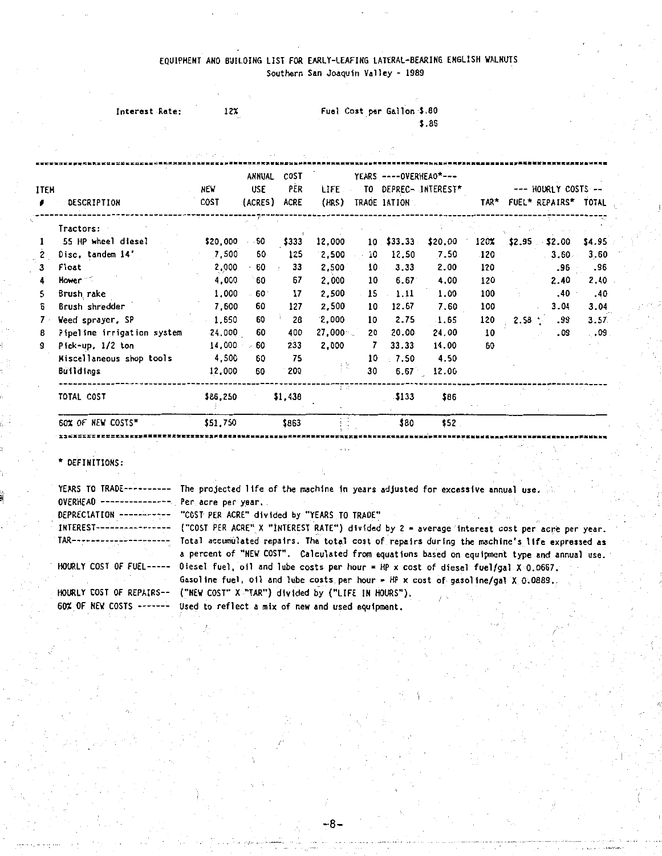#### EQUIPHENT ANO BUILDING LIST FOR EARLY-LEAFING LATERAL-BEARING ENGLISH WALNUTS **Southern San Joaquin Valley - 1989**

| Interest Rate: | 12% | Fuel Cost per Gallon \$.80 |
|----------------|-----|----------------------------|
|                |     | 3.86                       |

| ITEH<br>$\mathbf{I}$ |                            | <b>NEW</b><br><b>COST</b> | ANNUAL<br><b>USE</b> | COST<br>PER<br><b>ACRE</b> | LIFE <b>A</b> |                 |                   | YEARS ----OVERHEAO*---<br>TO DEPREC- INTEREST* |       |          | $---$ HOURLY COSTS $---$  |        |
|----------------------|----------------------------|---------------------------|----------------------|----------------------------|---------------|-----------------|-------------------|------------------------------------------------|-------|----------|---------------------------|--------|
|                      | DESCRIPTION                |                           | (ACRES)              |                            | (HRS)         |                 | TRAOE IATION      |                                                |       |          | TAR* FUEL* REPAIRS* TOTAL |        |
|                      | Tractors:                  |                           |                      |                            |               |                 |                   |                                                |       |          |                           |        |
|                      | 55 HP wheel diesel         | \$20,000                  | -60                  | \$333                      | 12,000        |                 | $10 \quad $33.33$ | \$20.00                                        |       |          | $120\%$ \$2.95 \$2.00     | \$4.95 |
|                      | Disc, tandem 14'           | 7,500                     | 60                   | 125                        | 2,500         | 10              | 12.50             | 7.50                                           | .120. |          | 3,60                      | 3.60   |
| 3                    | Float                      | 2,000                     | ⋅ 60                 | 33                         | 2,500         | 10 <sub>1</sub> | 3,33              | 2.00                                           | 120   |          | .96                       | .96    |
|                      | Hower <sup>-2</sup>        | 4,000                     | 60                   | 67                         | 2,000         | 10              | 6.67              | 4,00                                           | 120   |          | 2.40                      | 2.40   |
| 5.                   | Brush rake                 | 1,000                     | - 601                | 17                         | 2,500         | $-15$           | 1.11              | 1.00                                           | 100   |          | .40                       | .40    |
| 6                    | Brush shredder             | 7,600                     | 60                   | 127                        | 2,500         | 10              | 12.67             | 7.60                                           | 100   |          | 3.04                      | 3.04   |
| $7 \cdot$            | Weed sprayer, SP           | 1,650                     | 60                   | 28                         | 2.000         | 10              | 2.75              | 1.65                                           | 120   | $2.58$ . | .99                       | 3.57   |
| 8                    | Pipeline irrigation system | 24,000                    | 60                   | 400                        | 27,000        | 20              | 20.00             | 24.00                                          | 10    |          | .09                       | .09    |
| 9.                   | Pick-up. 1/2 ton           | 14,000                    | 60                   | 233                        | 2,000         | 7               | 33.33             | 14.00                                          | 60    |          |                           |        |
|                      | Miscellaneous shop tools   | 4,500                     | 60                   | 75                         |               | 10              | 7.50              | 4.50                                           |       |          |                           |        |
|                      | Buildings                  | 12,000                    | 60                   | 200                        | įΞ            | 30              | 6.67              | 12.00                                          |       |          |                           |        |
|                      | TOTAL COST                 | \$86,250                  |                      | \$1,438                    | ŦŦ.           |                 | \$133             | \$86                                           |       |          |                           |        |
|                      | 60% OF NEW COSTS*          | \$51,750                  |                      | \$863                      |               |                 | \$80              | \$52                                           |       |          |                           |        |

\* DEFINITIONS:

| YEARS TO TRADE---------- | The projected life of the machine in years adjusted for excessive annual use.               |
|--------------------------|---------------------------------------------------------------------------------------------|
| OVERHEAD -----           | Per acre per year.                                                                          |
| DEPRECIATION -------     | "COST PER ACRE" divided by "YEARS TO TRADE"                                                 |
| INTEREST--               | ("COST PER ACRE" X "INTEREST RATE") divided by 2 = average interest cost per acre per year. |
| $TAR$ ------             | Total accumulated repairs. The total cost of repairs during the machine's life expressed as |
|                          | a percent of "NEW COST". Calculated from equations based on equipment type and annual use.  |
| HOURLY COST OF FUEL----- | Diesel fuel, oil and lube costs per hour = HP x cost of diesel fuel/gal X 0.0667.           |
|                          | Gasoline fuel, oil and lube costs per hour = $HP \times cost$ of gasoline/gal X 0.0889.     |
|                          | HOURLY COST OF REPAIRS -- ("NEW COST" X "TAR") divided by ("LIFE IN HOURS").                |
|                          | 60% OF NEW COSTS ------ Used to reflect a mix of new and used equipment.                    |
|                          |                                                                                             |